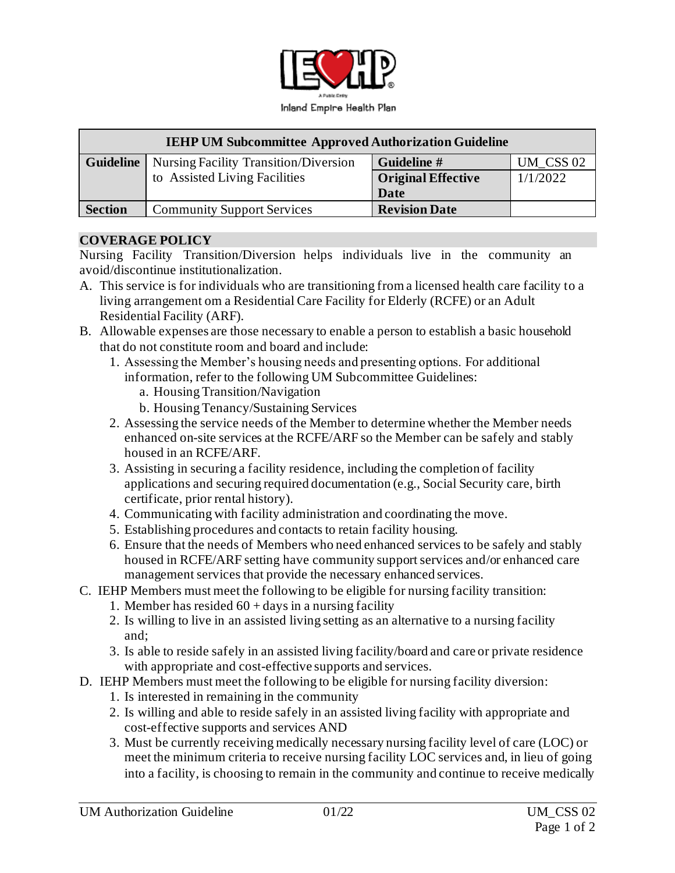

| <b>IEHP UM Subcommittee Approved Authorization Guideline</b> |                                              |                           |           |
|--------------------------------------------------------------|----------------------------------------------|---------------------------|-----------|
| Guideline                                                    | <b>Nursing Facility Transition/Diversion</b> | Guideline #               | UM CSS 02 |
|                                                              | to Assisted Living Facilities                | <b>Original Effective</b> | 1/1/2022  |
|                                                              |                                              | Date                      |           |
| <b>Section</b>                                               | <b>Community Support Services</b>            | <b>Revision Date</b>      |           |

#### **COVERAGE POLICY**

Nursing Facility Transition/Diversion helps individuals live in the community an avoid/discontinue institutionalization.

- A. This service is for individuals who are transitioning from a licensed health care facility to a living arrangement om a Residential Care Facility for Elderly (RCFE) or an Adult Residential Facility (ARF).
- B. Allowable expenses are those necessary to enable a person to establish a basic household that do not constitute room and board and include:
	- 1. Assessing the Member's housing needs and presenting options. For additional information, refer to the following UM Subcommittee Guidelines:
		- a. Housing Transition/Navigation
		- b. Housing Tenancy/Sustaining Services
	- 2. Assessing the service needs of the Member to determine whether the Member needs enhanced on-site services at the RCFE/ARF so the Member can be safely and stably housed in an RCFE/ARF.
	- 3. Assisting in securing a facility residence, including the completion of facility applications and securing required documentation (e.g., Social Security care, birth certificate, prior rental history).
	- 4. Communicating with facility administration and coordinating the move.
	- 5. Establishing procedures and contacts to retain facility housing.
	- 6. Ensure that the needs of Members who need enhanced services to be safely and stably housed in RCFE/ARF setting have community support services and/or enhanced care management services that provide the necessary enhanced services.
- C. IEHP Members must meet the following to be eligible for nursing facility transition:
	- 1. Member has resided  $60 + days$  in a nursing facility
	- 2. Is willing to live in an assisted living setting as an alternative to a nursing facility and;
	- 3. Is able to reside safely in an assisted living facility/board and care or private residence with appropriate and cost-effective supports and services.
- D. IEHP Members must meet the following to be eligible for nursing facility diversion:
	- 1. Is interested in remaining in the community
	- 2. Is willing and able to reside safely in an assisted living facility with appropriate and cost-effective supports and services AND
	- 3. Must be currently receiving medically necessary nursing facility level of care (LOC) or meet the minimum criteria to receive nursing facility LOC services and, in lieu of going into a facility, is choosing to remain in the community and continue to receive medically